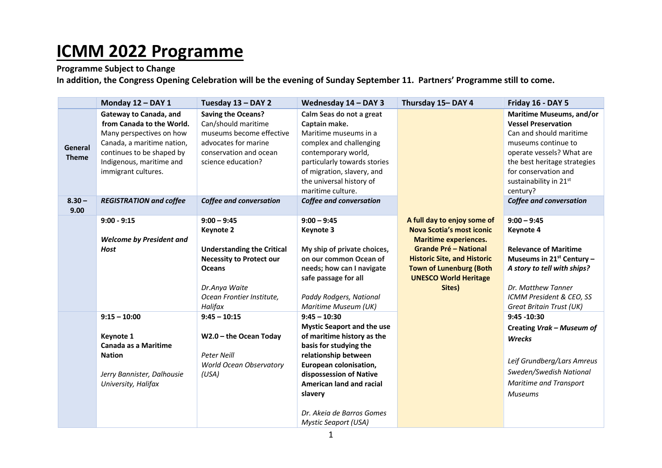## **ICMM 2022 Programme**

## **Programme Subject to Change**

**In addition, the Congress Opening Celebration will be the evening of Sunday September 11. Partners' Programme still to come.**

|                         | Monday 12 - DAY 1                                                                                                                                                                             | Tuesday 13 - DAY 2                                                                                                                                                                  | Wednesday 14 - DAY 3                                                                                                                                                                                                                                                                        | Thursday 15-DAY 4                                                                                                                                                                                                                                 | Friday 16 - DAY 5                                                                                                                                                                                                                   |
|-------------------------|-----------------------------------------------------------------------------------------------------------------------------------------------------------------------------------------------|-------------------------------------------------------------------------------------------------------------------------------------------------------------------------------------|---------------------------------------------------------------------------------------------------------------------------------------------------------------------------------------------------------------------------------------------------------------------------------------------|---------------------------------------------------------------------------------------------------------------------------------------------------------------------------------------------------------------------------------------------------|-------------------------------------------------------------------------------------------------------------------------------------------------------------------------------------------------------------------------------------|
| General<br><b>Theme</b> | Gateway to Canada, and<br>from Canada to the World.<br>Many perspectives on how<br>Canada, a maritime nation,<br>continues to be shaped by<br>Indigenous, maritime and<br>immigrant cultures. | <b>Saving the Oceans?</b><br>Can/should maritime<br>museums become effective<br>advocates for marine<br>conservation and ocean<br>science education?                                | Calm Seas do not a great<br>Captain make.<br>Maritime museums in a<br>complex and challenging<br>contemporary world,<br>particularly towards stories<br>of migration, slavery, and<br>the universal history of<br>maritime culture.                                                         |                                                                                                                                                                                                                                                   | Maritime Museums, and/or<br><b>Vessel Preservation</b><br>Can and should maritime<br>museums continue to<br>operate vessels? What are<br>the best heritage strategies<br>for conservation and<br>sustainability in 21st<br>century? |
| $8.30 -$<br>9.00        | <b>REGISTRATION and coffee</b>                                                                                                                                                                | Coffee and conversation                                                                                                                                                             | <b>Coffee and conversation</b>                                                                                                                                                                                                                                                              |                                                                                                                                                                                                                                                   | <b>Coffee and conversation</b>                                                                                                                                                                                                      |
|                         | $9:00 - 9:15$<br><b>Welcome by President and</b><br><b>Host</b>                                                                                                                               | $9:00 - 9:45$<br><b>Keynote 2</b><br><b>Understanding the Critical</b><br><b>Necessity to Protect our</b><br><b>Oceans</b><br>Dr.Anya Waite<br>Ocean Frontier Institute,<br>Halifax | $9:00 - 9:45$<br>Keynote 3<br>My ship of private choices,<br>on our common Ocean of<br>needs; how can I navigate<br>safe passage for all<br>Paddy Rodgers, National<br>Maritime Museum (UK)                                                                                                 | A full day to enjoy some of<br><b>Nova Scotia's most iconic</b><br><b>Maritime experiences.</b><br><b>Grande Pré – National</b><br><b>Historic Site, and Historic</b><br><b>Town of Lunenburg (Both</b><br><b>UNESCO World Heritage</b><br>Sites) | $9:00 - 9:45$<br><b>Keynote 4</b><br><b>Relevance of Maritime</b><br>Museums in $21^{st}$ Century -<br>A story to tell with ships?<br>Dr. Matthew Tanner<br>ICMM President & CEO, SS<br>Great Britain Trust (UK)                    |
|                         | $9:15 - 10:00$<br>Keynote 1<br>Canada as a Maritime<br><b>Nation</b><br>Jerry Bannister, Dalhousie<br>University, Halifax                                                                     | $9:45 - 10:15$<br>W2.0 - the Ocean Today<br><b>Peter Neill</b><br><b>World Ocean Observatory</b><br>(USA)                                                                           | $9:45 - 10:30$<br><b>Mystic Seaport and the use</b><br>of maritime history as the<br>basis for studying the<br>relationship between<br>European colonisation,<br>dispossession of Native<br>American land and racial<br>slavery<br>Dr. Akeia de Barros Gomes<br><b>Mystic Seaport (USA)</b> |                                                                                                                                                                                                                                                   | $9:45 - 10:30$<br>Creating Vrak - Museum of<br>Wrecks<br>Leif Grundberg/Lars Amreus<br>Sweden/Swedish National<br><b>Maritime and Transport</b><br><b>Museums</b>                                                                   |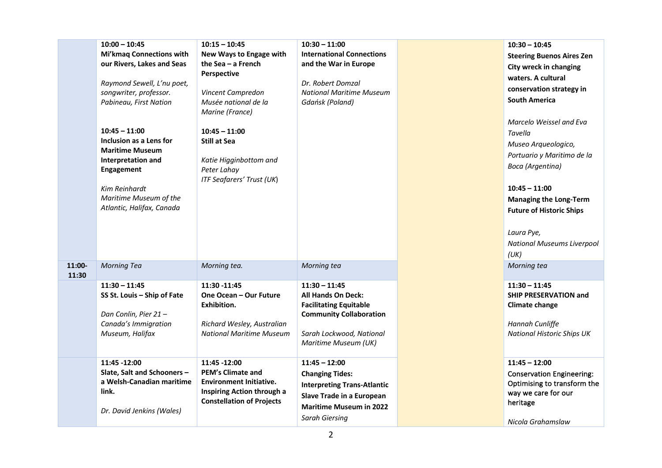|        | $10:00 - 10:45$                                      | $10:15 - 10:45$                       | $10:30 - 11:00$                                                 | $10:30 - 10:45$                   |
|--------|------------------------------------------------------|---------------------------------------|-----------------------------------------------------------------|-----------------------------------|
|        | <b>Mi'kmaq Connections with</b>                      | New Ways to Engage with               | <b>International Connections</b>                                | <b>Steering Buenos Aires Zen</b>  |
|        | our Rivers, Lakes and Seas                           | the Sea - a French                    | and the War in Europe                                           | City wreck in changing            |
|        |                                                      | Perspective                           |                                                                 | waters. A cultural                |
|        | Raymond Sewell, L'nu poet,<br>songwriter, professor. | Vincent Campredon                     | Dr. Robert Domzal<br><b>National Maritime Museum</b>            | conservation strategy in          |
|        | Pabineau, First Nation                               | Musée national de la                  | Gdańsk (Poland)                                                 | <b>South America</b>              |
|        |                                                      | Marine (France)                       |                                                                 |                                   |
|        |                                                      |                                       |                                                                 | Marcelo Weissel and Eva           |
|        | $10:45 - 11:00$                                      | $10:45 - 11:00$                       |                                                                 | Tavella                           |
|        | Inclusion as a Lens for                              | <b>Still at Sea</b>                   |                                                                 | Museo Arqueologico,               |
|        | <b>Maritime Museum</b>                               |                                       |                                                                 | Portuario y Maritimo de la        |
|        | Interpretation and                                   | Katie Higginbottom and                |                                                                 | Boca (Argentina)                  |
|        | Engagement                                           | Peter Lahay                           |                                                                 |                                   |
|        |                                                      | <b>ITF Seafarers' Trust (UK)</b>      |                                                                 |                                   |
|        | Kim Reinhardt                                        |                                       |                                                                 | $10:45 - 11:00$                   |
|        | Maritime Museum of the<br>Atlantic, Halifax, Canada  |                                       |                                                                 | <b>Managing the Long-Term</b>     |
|        |                                                      |                                       |                                                                 | <b>Future of Historic Ships</b>   |
|        |                                                      |                                       |                                                                 |                                   |
|        |                                                      |                                       |                                                                 | Laura Pye,                        |
|        |                                                      |                                       |                                                                 | <b>National Museums Liverpool</b> |
|        |                                                      |                                       |                                                                 | (UK)                              |
| 11:00- | <b>Morning Tea</b>                                   | Morning tea.                          | Morning tea                                                     | Morning tea                       |
| 11:30  |                                                      |                                       |                                                                 |                                   |
|        | $11:30 - 11:45$                                      | 11:30 - 11:45                         | $11:30 - 11:45$                                                 | $11:30 - 11:45$                   |
|        | SS St. Louis - Ship of Fate                          | One Ocean - Our Future<br>Exhibition. | <b>All Hands On Deck:</b>                                       | <b>SHIP PRESERVATION and</b>      |
|        | Dan Conlin, Pier 21-                                 |                                       | <b>Facilitating Equitable</b><br><b>Community Collaboration</b> | <b>Climate change</b>             |
|        | Canada's Immigration                                 | Richard Wesley, Australian            |                                                                 | Hannah Cunliffe                   |
|        | Museum, Halifax                                      | <b>National Maritime Museum</b>       | Sarah Lockwood, National                                        | <b>National Historic Ships UK</b> |
|        |                                                      |                                       | Maritime Museum (UK)                                            |                                   |
|        |                                                      |                                       |                                                                 |                                   |
|        | 11:45 - 12:00                                        | 11:45 - 12:00                         | $11:45 - 12:00$                                                 | $11:45 - 12:00$                   |
|        | Slate, Salt and Schooners -                          | <b>PEM's Climate and</b>              | <b>Changing Tides:</b>                                          | <b>Conservation Engineering:</b>  |
|        | a Welsh-Canadian maritime                            | <b>Environment Initiative.</b>        | <b>Interpreting Trans-Atlantic</b>                              | Optimising to transform the       |
|        | link.                                                | Inspiring Action through a            | Slave Trade in a European                                       | way we care for our               |
|        |                                                      | <b>Constellation of Projects</b>      | <b>Maritime Museum in 2022</b>                                  | heritage                          |
|        | Dr. David Jenkins (Wales)                            |                                       | <b>Sarah Giersing</b>                                           |                                   |
|        |                                                      |                                       |                                                                 | Nicola Grahamslaw                 |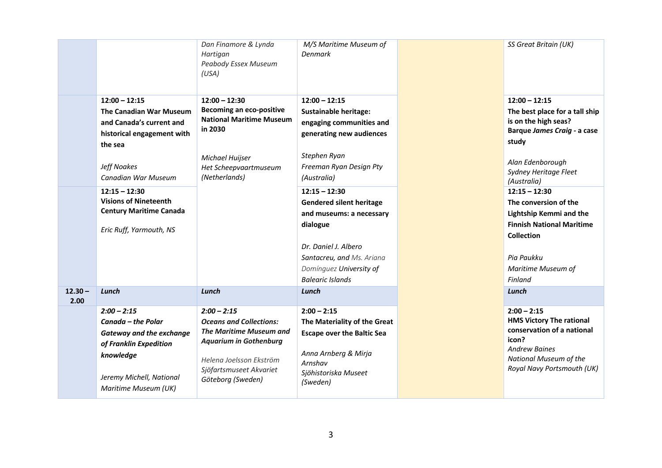|           |                                 | Dan Finamore & Lynda<br>Hartigan<br>Peabody Essex Museum<br>(USA)  | M/S Maritime Museum of<br><b>Denmark</b>           | SS Great Britain (UK)                               |
|-----------|---------------------------------|--------------------------------------------------------------------|----------------------------------------------------|-----------------------------------------------------|
|           | $12:00 - 12:15$                 | $12:00 - 12:30$                                                    | $12:00 - 12:15$                                    | $12:00 - 12:15$                                     |
|           | The Canadian War Museum         | <b>Becoming an eco-positive</b><br><b>National Maritime Museum</b> | <b>Sustainable heritage:</b>                       | The best place for a tall ship                      |
|           | and Canada's current and        | in 2030                                                            | engaging communities and                           | is on the high seas?<br>Barque James Craig - a case |
|           | historical engagement with      |                                                                    | generating new audiences                           | study                                               |
|           | the sea                         |                                                                    | Stephen Ryan                                       |                                                     |
|           | Jeff Noakes                     | Michael Huijser<br>Het Scheepvaartmuseum                           | Freeman Ryan Design Pty                            | Alan Edenborough                                    |
|           | Canadian War Museum             | (Netherlands)                                                      | (Australia)                                        | Sydney Heritage Fleet<br>(Australia)                |
|           | $12:15 - 12:30$                 |                                                                    | $12:15 - 12:30$                                    | $12:15 - 12:30$                                     |
|           | <b>Visions of Nineteenth</b>    |                                                                    | <b>Gendered silent heritage</b>                    | The conversion of the                               |
|           | <b>Century Maritime Canada</b>  |                                                                    | and museums: a necessary                           | <b>Lightship Kemmi and the</b>                      |
|           | Eric Ruff, Yarmouth, NS         |                                                                    | dialogue                                           | <b>Finnish National Maritime</b>                    |
|           |                                 |                                                                    |                                                    | <b>Collection</b>                                   |
|           |                                 |                                                                    | Dr. Daniel J. Albero                               |                                                     |
|           |                                 |                                                                    | Santacreu, and Ms. Ariana                          | Pia Paukku                                          |
|           |                                 |                                                                    | Domínguez University of<br><b>Balearic Islands</b> | Maritime Museum of<br>Finland                       |
| $12.30 -$ | Lunch                           | Lunch                                                              | Lunch                                              | Lunch                                               |
| 2.00      |                                 |                                                                    |                                                    |                                                     |
|           | $2:00 - 2:15$                   | $2:00 - 2:15$                                                      | $2:00 - 2:15$                                      | $2:00 - 2:15$                                       |
|           | Canada - the Polar              | <b>Oceans and Collections:</b>                                     | The Materiality of the Great                       | <b>HMS Victory The rational</b>                     |
|           | <b>Gateway and the exchange</b> | <b>The Maritime Museum and</b><br><b>Aquarium in Gothenburg</b>    | <b>Escape over the Baltic Sea</b>                  | conservation of a national<br>icon?                 |
|           | of Franklin Expedition          |                                                                    | Anna Arnberg & Mirja                               | <b>Andrew Baines</b>                                |
|           | knowledge                       | Helena Joelsson Ekström                                            | Arnshav                                            | National Museum of the                              |
|           | Jeremy Michell, National        | Sjöfartsmuseet Akvariet                                            | Sjöhistoriska Museet                               | Royal Navy Portsmouth (UK)                          |
|           | Maritime Museum (UK)            | Göteborg (Sweden)                                                  | (Sweden)                                           |                                                     |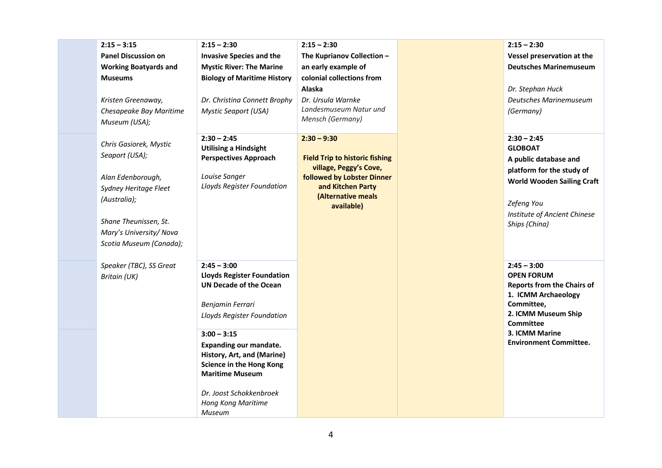| $2:15 - 3:15$                | $2:15 - 2:30$                      | $2:15 - 2:30$                                        | $2:15 - 2:30$                     |
|------------------------------|------------------------------------|------------------------------------------------------|-----------------------------------|
| <b>Panel Discussion on</b>   | <b>Invasive Species and the</b>    | The Kuprianov Collection -                           | Vessel preservation at the        |
| <b>Working Boatyards and</b> | <b>Mystic River: The Marine</b>    | an early example of                                  | <b>Deutsches Marinemuseum</b>     |
| <b>Museums</b>               | <b>Biology of Maritime History</b> | colonial collections from                            |                                   |
|                              |                                    | Alaska                                               | Dr. Stephan Huck                  |
| Kristen Greenaway,           | Dr. Christina Connett Brophy       | Dr. Ursula Warnke                                    | Deutsches Marinemuseum            |
| Chesapeake Bay Maritime      | <b>Mystic Seaport (USA)</b>        | Landesmuseum Natur und                               | (Germany)                         |
| Museum (USA);                |                                    | Mensch (Germany)                                     |                                   |
| Chris Gasiorek, Mystic       | $2:30 - 2:45$                      | $2:30 - 9:30$                                        | $2:30 - 2:45$                     |
| Seaport (USA);               | <b>Utilising a Hindsight</b>       |                                                      | <b>GLOBOAT</b>                    |
|                              | <b>Perspectives Approach</b>       | <b>Field Trip to historic fishing</b>                | A public database and             |
| Alan Edenborough,            | Louise Sanger                      | village, Peggy's Cove,<br>followed by Lobster Dinner | platform for the study of         |
| Sydney Heritage Fleet        | Lloyds Register Foundation         | and Kitchen Party                                    | <b>World Wooden Sailing Craft</b> |
| (Australia);                 |                                    | (Alternative meals                                   |                                   |
|                              |                                    | available)                                           | Zefeng You                        |
| Shane Theunissen, St.        |                                    |                                                      | Institute of Ancient Chinese      |
| Mary's University/Nova       |                                    |                                                      | Ships (China)                     |
| Scotia Museum (Canada);      |                                    |                                                      |                                   |
|                              |                                    |                                                      |                                   |
| Speaker (TBC), SS Great      | $2:45 - 3:00$                      |                                                      | $2:45 - 3:00$                     |
| <b>Britain (UK)</b>          | <b>Lloyds Register Foundation</b>  |                                                      | <b>OPEN FORUM</b>                 |
|                              | <b>UN Decade of the Ocean</b>      |                                                      | <b>Reports from the Chairs of</b> |
|                              |                                    |                                                      | 1. ICMM Archaeology               |
|                              | Benjamin Ferrari                   |                                                      | Committee,                        |
|                              | Lloyds Register Foundation         |                                                      | 2. ICMM Museum Ship<br>Committee  |
|                              | $3:00 - 3:15$                      |                                                      | 3. ICMM Marine                    |
|                              | <b>Expanding our mandate.</b>      |                                                      | <b>Environment Committee.</b>     |
|                              | History, Art, and (Marine)         |                                                      |                                   |
|                              | <b>Science in the Hong Kong</b>    |                                                      |                                   |
|                              | <b>Maritime Museum</b>             |                                                      |                                   |
|                              | Dr. Joost Schokkenbroek            |                                                      |                                   |
|                              | Hong Kong Maritime                 |                                                      |                                   |
|                              | Museum                             |                                                      |                                   |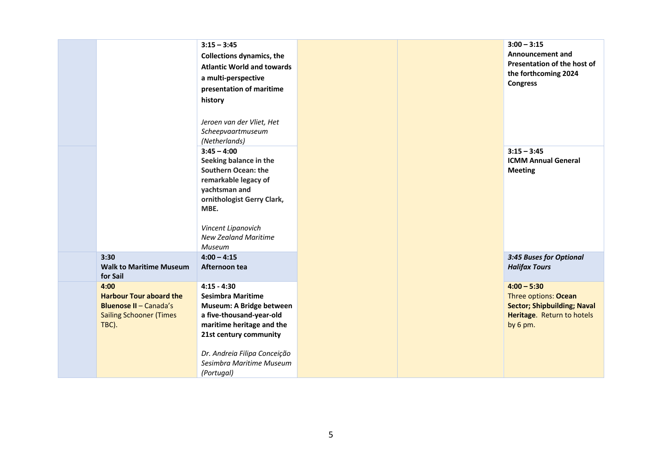|                                                                                                                    | $3:15 - 3:45$<br><b>Collections dynamics, the</b><br><b>Atlantic World and towards</b><br>a multi-perspective<br>presentation of maritime<br>history<br>Jeroen van der Vliet, Het<br>Scheepvaartmuseum<br>(Netherlands)            |  | $3:00 - 3:15$<br><b>Announcement and</b><br>Presentation of the host of<br>the forthcoming 2024<br><b>Congress</b>    |
|--------------------------------------------------------------------------------------------------------------------|------------------------------------------------------------------------------------------------------------------------------------------------------------------------------------------------------------------------------------|--|-----------------------------------------------------------------------------------------------------------------------|
|                                                                                                                    | $3:45 - 4:00$<br>Seeking balance in the<br><b>Southern Ocean: the</b><br>remarkable legacy of<br>yachtsman and<br>ornithologist Gerry Clark,<br>MBE.<br>Vincent Lipanovich<br><b>New Zealand Maritime</b><br>Museum                |  | $3:15 - 3:45$<br><b>ICMM Annual General</b><br><b>Meeting</b>                                                         |
| 3:30<br><b>Walk to Maritime Museum</b><br>for Sail                                                                 | $4:00 - 4:15$<br>Afternoon tea                                                                                                                                                                                                     |  | 3:45 Buses for Optional<br><b>Halifax Tours</b>                                                                       |
| 4:00<br><b>Harbour Tour aboard the</b><br><b>Bluenose II - Canada's</b><br><b>Sailing Schooner (Times</b><br>TBC). | $4:15 - 4:30$<br><b>Sesimbra Maritime</b><br>Museum: A Bridge between<br>a five-thousand-year-old<br>maritime heritage and the<br>21st century community<br>Dr. Andreia Filipa Conceição<br>Sesimbra Maritime Museum<br>(Portugal) |  | $4:00 - 5:30$<br>Three options: Ocean<br><b>Sector; Shipbuilding; Naval</b><br>Heritage. Return to hotels<br>by 6 pm. |